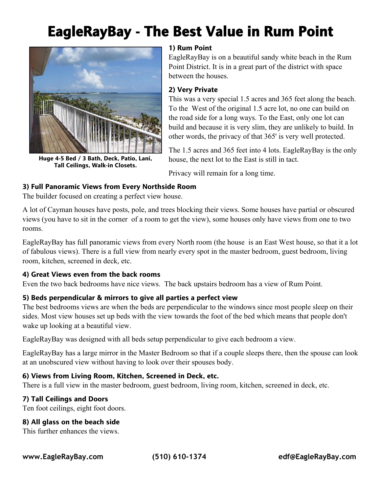# **EagleRayBay - The Best Value in Rum Point**



**Huge 4-5 Bed / 3 Bath, Deck, Patio, Lani, Tall Ceilings, Walk-in Closets.**

# **1) Rum Point**

EagleRayBay is on a beautiful sandy white beach in the Rum Point District. It is in a great part of the district with space between the houses.

#### **2) Very Private**

This was a very special 1.5 acres and 365 feet along the beach. To the West of the original 1.5 acre lot, no one can build on the road side for a long ways. To the East, only one lot can build and because it is very slim, they are unlikely to build. In other words, the privacy of that 365' is very well protected.

The 1.5 acres and 365 feet into 4 lots. EagleRayBay is the only house, the next lot to the East is still in tact.

Privacy will remain for a long time.

#### **3) Full Panoramic Views from Every Northside Room**

The builder focused on creating a perfect view house.

A lot of Cayman houses have posts, pole, and trees blocking their views. Some houses have partial or obscured views (you have to sit in the corner of a room to get the view), some houses only have views from one to two rooms.

EagleRayBay has full panoramic views from every North room (the house is an East West house, so that it a lot of fabulous views). There is a full view from nearly every spot in the master bedroom, guest bedroom, living room, kitchen, screened in deck, etc.

#### **4) Great Views even from the back rooms**

Even the two back bedrooms have nice views. The back upstairs bedroom has a view of Rum Point.

#### **5) Beds perpendicular & mirrors to give all parties a perfect view**

The best bedrooms views are when the beds are perpendicular to the windows since most people sleep on their sides. Most view houses set up beds with the view towards the foot of the bed which means that people don't wake up looking at a beautiful view.

EagleRayBay was designed with all beds setup perpendicular to give each bedroom a view.

EagleRayBay has a large mirror in the Master Bedroom so that if a couple sleeps there, then the spouse can look at an unobscured view without having to look over their spouses body.

#### **6) Views from Living Room, Kitchen, Screened in Deck, etc.**

There is a full view in the master bedroom, guest bedroom, living room, kitchen, screened in deck, etc.

#### **7) Tall Ceilings and Doors**

Ten foot ceilings, eight foot doors.

#### **8) All glass on the beach side**

This further enhances the views.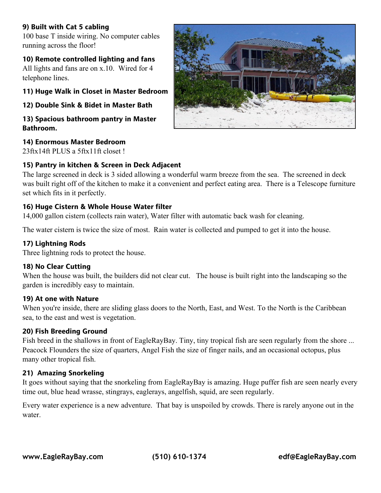# **9) Built with Cat 5 cabling**

100 base T inside wiring. No computer cables running across the floor!

# **10) Remote controlled lighting and fans**

All lights and fans are on x.10. Wired for 4 telephone lines.

#### **11) Huge Walk in Closet in Master Bedroom**

**12) Double Sink & Bidet in Master Bath**

#### **13) Spacious bathroom pantry in Master Bathroom.**

#### **14) Enormous Master Bedroom**

23ftx14ft PLUS a 5ftx11ft closet !

#### **15) Pantry in kitchen & Screen in Deck Adjacent**

The large screened in deck is 3 sided allowing a wonderful warm breeze from the sea. The screened in deck was built right off of the kitchen to make it a convenient and perfect eating area. There is a Telescope furniture set which fits in it perfectly.

#### **16) Huge Cistern & Whole House Water filter**

14,000 gallon cistern (collects rain water), Water filter with automatic back wash for cleaning.

The water cistern is twice the size of most. Rain water is collected and pumped to get it into the house.

# **17) Lightning Rods**

Three lightning rods to protect the house.

#### **18) No Clear Cutting**

When the house was built, the builders did not clear cut. The house is built right into the landscaping so the garden is incredibly easy to maintain.

#### **19) At one with Nature**

When you're inside, there are sliding glass doors to the North, East, and West. To the North is the Caribbean sea, to the east and west is vegetation.

#### **20) Fish Breeding Ground**

Fish breed in the shallows in front of EagleRayBay. Tiny, tiny tropical fish are seen regularly from the shore ... Peacock Flounders the size of quarters, Angel Fish the size of finger nails, and an occasional octopus, plus many other tropical fish.

#### **21) Amazing Snorkeling**

It goes without saying that the snorkeling from EagleRayBay is amazing. Huge puffer fish are seen nearly every time out, blue head wrasse, stingrays, eaglerays, angelfish, squid, are seen regularly.

Every water experience is a new adventure. That bay is unspoiled by crowds. There is rarely anyone out in the water.